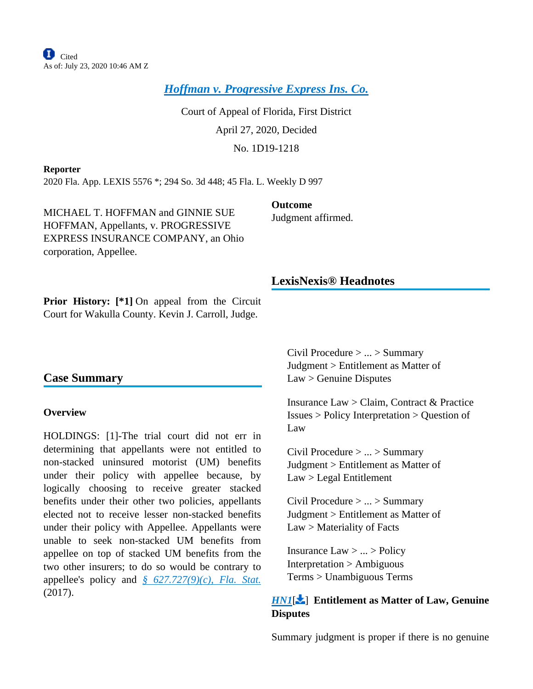*Hoffman v. Progressive Express Ins. Co.*

Court of Appeal of Florida, First District April 27, 2020, Decided No. 1D19-1218

**Reporter** 2020 Fla. App. LEXIS 5576 \*; 294 So. 3d 448; 45 Fla. L. Weekly D 997

MICHAEL T. HOFFMAN and GINNIE SUE HOFFMAN, Appellants, v. PROGRESSIVE EXPRESS INSURANCE COMPANY, an Ohio corporation, Appellee.

**Outcome** Judgment affirmed.

**LexisNexis® Headnotes**

#### **Prior History:** [\*1] On appeal from the Circuit Court for Wakulla County. Kevin J. Carroll, Judge.

# **Case Summary**

# **Overview**

HOLDINGS: [1]-The trial court did not err in determining that appellants were not entitled to non-stacked uninsured motorist (UM) benefits under their policy with appellee because, by logically choosing to receive greater stacked benefits under their other two policies, appellants elected not to receive lesser non-stacked benefits under their policy with Appellee. Appellants were unable to seek non-stacked UM benefits from appellee on top of stacked UM benefits from the two other insurers; to do so would be contrary to appellee's policy and *§ 627.727(9)(c), Fla. Stat.* (2017).

Civil Procedure > ... > Summary Judgment > Entitlement as Matter of Law > Genuine Disputes

Insurance Law > Claim, Contract & Practice Issues > Policy Interpretation > Question of Law

Civil Procedure > ... > Summary Judgment > Entitlement as Matter of Law > Legal Entitlement

Civil Procedure > ... > Summary Judgment > Entitlement as Matter of Law > Materiality of Facts

Insurance Law > ... > Policy Interpretation > Ambiguous Terms > Unambiguous Terms

## *HN1*[ ] **Entitlement as Matter of Law, Genuine Disputes**

Summary judgment is proper if there is no genuine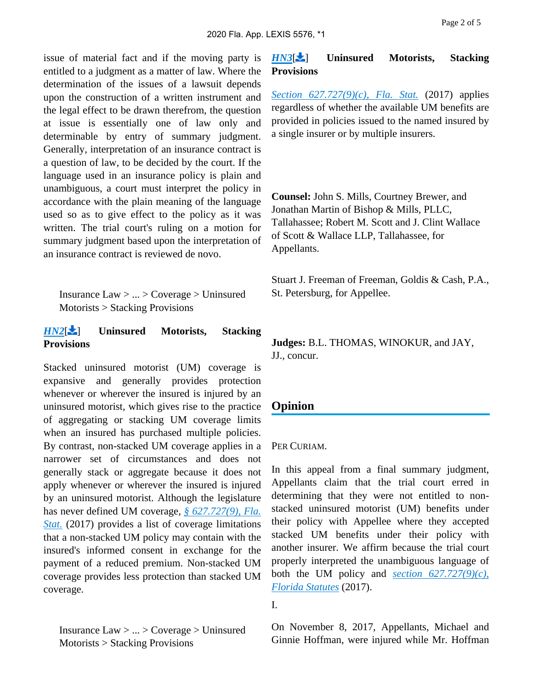issue of material fact and if the moving party is entitled to a judgment as a matter of law. Where the determination of the issues of a lawsuit depends upon the construction of a written instrument and the legal effect to be drawn therefrom, the question at issue is essentially one of law only and determinable by entry of summary judgment. Generally, interpretation of an insurance contract is a question of law, to be decided by the court. If the language used in an insurance policy is plain and unambiguous, a court must interpret the policy in accordance with the plain meaning of the language used so as to give effect to the policy as it was written. The trial court's ruling on a motion for summary judgment based upon the interpretation of an insurance contract is reviewed de novo.

Insurance Law > ... > Coverage > Uninsured Motorists > Stacking Provisions

#### *HN2*[ ] **Uninsured Motorists, Stacking Provisions**

Stacked uninsured motorist (UM) coverage is expansive and generally provides protection whenever or wherever the insured is injured by an uninsured motorist, which gives rise to the practice of aggregating or stacking UM coverage limits when an insured has purchased multiple policies. By contrast, non-stacked UM coverage applies in a narrower set of circumstances and does not generally stack or aggregate because it does not apply whenever or wherever the insured is injured by an uninsured motorist. Although the legislature has never defined UM coverage, *§ 627.727(9), Fla. Stat.* (2017) provides a list of coverage limitations that a non-stacked UM policy may contain with the insured's informed consent in exchange for the payment of a reduced premium. Non-stacked UM coverage provides less protection than stacked UM coverage.

<span id="page-1-0"></span>Insurance Law > ... > Coverage > Uninsured Motorists > Stacking Provisions

#### *HN3*[ ] **Uninsured Motorists, Stacking Provisions**

*Section 627.727(9)(c), Fla. Stat.* (2017) applies regardless of whether the available UM benefits are provided in policies issued to the named insured by a single insurer or by multiple insurers.

**Counsel:** John S. Mills, Courtney Brewer, and Jonathan Martin of Bishop & Mills, PLLC, Tallahassee; Robert M. Scott and J. Clint Wallace of Scott & Wallace LLP, Tallahassee, for Appellants.

Stuart J. Freeman of Freeman, Goldis & Cash, P.A., St. Petersburg, for Appellee.

**Judges:** B.L. THOMAS, WINOKUR, and JAY, JJ., concur.

### **Opinion**

#### PER CURIAM.

In this appeal from a final summary judgment, Appellants claim that the trial court erred in determining that they were not entitled to nonstacked uninsured motorist (UM) benefits under their policy with Appellee where they accepted stacked UM benefits under their policy with another insurer. We affirm because the trial court properly interpreted the unambiguous language of both the UM policy and *section 627.727(9)(c), Florida Statutes* (2017).

#### I.

On November 8, 2017, Appellants, Michael and Ginnie Hoffman, were injured while Mr. Hoffman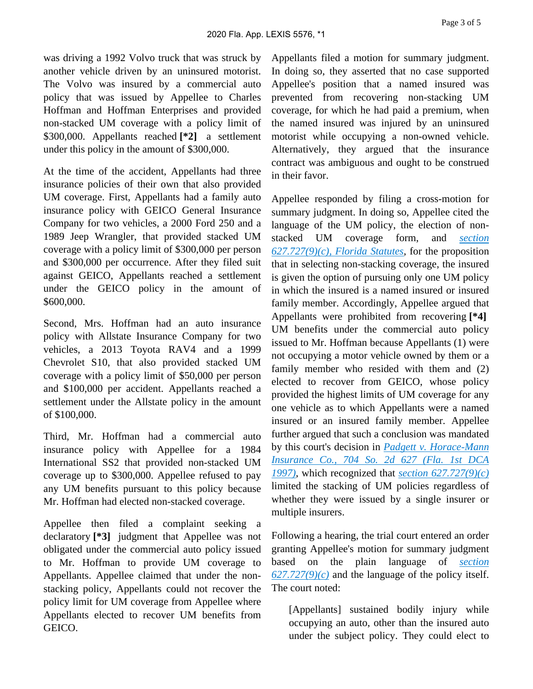was driving a 1992 Volvo truck that was struck by another vehicle driven by an uninsured motorist. The Volvo was insured by a commercial auto policy that was issued by Appellee to Charles Hoffman and Hoffman Enterprises and provided non-stacked UM coverage with a policy limit of \$300,000. Appellants reached **[\*2]** a settlement under this policy in the amount of \$300,000.

At the time of the accident, Appellants had three insurance policies of their own that also provided UM coverage. First, Appellants had a family auto insurance policy with GEICO General Insurance Company for two vehicles, a 2000 Ford 250 and a 1989 Jeep Wrangler, that provided stacked UM coverage with a policy limit of \$300,000 per person and \$300,000 per occurrence. After they filed suit against GEICO, Appellants reached a settlement under the GEICO policy in the amount of \$600,000.

Second, Mrs. Hoffman had an auto insurance policy with Allstate Insurance Company for two vehicles, a 2013 Toyota RAV4 and a 1999 Chevrolet S10, that also provided stacked UM coverage with a policy limit of \$50,000 per person and \$100,000 per accident. Appellants reached a settlement under the Allstate policy in the amount of \$100,000.

Third, Mr. Hoffman had a commercial auto insurance policy with Appellee for a 1984 International SS2 that provided non-stacked UM coverage up to \$300,000. Appellee refused to pay any UM benefits pursuant to this policy because Mr. Hoffman had elected non-stacked coverage.

Appellee then filed a complaint seeking a declaratory **[\*3]** judgment that Appellee was not obligated under the commercial auto policy issued to Mr. Hoffman to provide UM coverage to Appellants. Appellee claimed that under the nonstacking policy, Appellants could not recover the policy limit for UM coverage from Appellee where Appellants elected to recover UM benefits from GEICO.

Appellants filed a motion for summary judgment. In doing so, they asserted that no case supported Appellee's position that a named insured was prevented from recovering non-stacking UM coverage, for which he had paid a premium, when the named insured was injured by an uninsured motorist while occupying a non-owned vehicle. Alternatively, they argued that the insurance contract was ambiguous and ought to be construed in their favor.

Appellee responded by filing a cross-motion for summary judgment. In doing so, Appellee cited the language of the UM policy, the election of nonstacked UM coverage form, and *section 627.727(9)(c), Florida Statutes*, for the proposition that in selecting non-stacking coverage, the insured is given the option of pursuing only one UM policy in which the insured is a named insured or insured family member. Accordingly, Appellee argued that Appellants were prohibited from recovering **[\*4]**  UM benefits under the commercial auto policy issued to Mr. Hoffman because Appellants (1) were not occupying a motor vehicle owned by them or a family member who resided with them and (2) elected to recover from GEICO, whose policy provided the highest limits of UM coverage for any one vehicle as to which Appellants were a named insured or an insured family member. Appellee further argued that such a conclusion was mandated by this court's decision in *Padgett v. Horace-Mann Insurance Co., 704 So. 2d 627 (Fla. 1st DCA 1997)*, which recognized that *section 627.727(9)(c)* limited the stacking of UM policies regardless of whether they were issued by a single insurer or multiple insurers.

Following a hearing, the trial court entered an order granting Appellee's motion for summary judgment based on the plain language of *section 627.727(9)(c)* and the language of the policy itself. The court noted:

[Appellants] sustained bodily injury while occupying an auto, other than the insured auto under the subject policy. They could elect to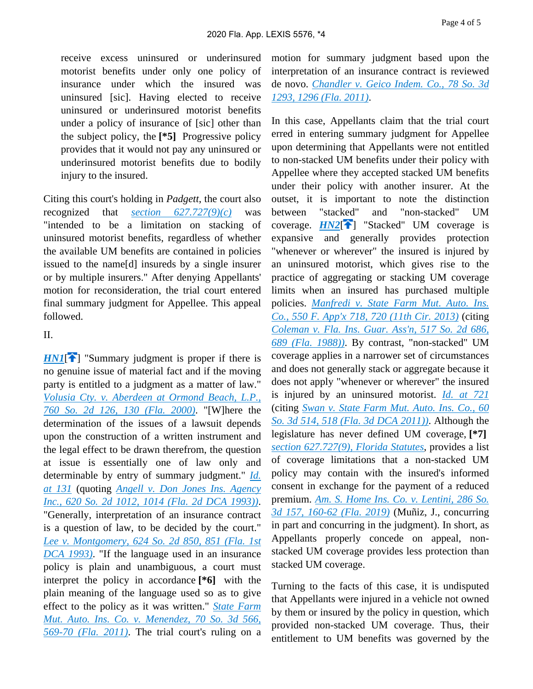receive excess uninsured or underinsured motorist benefits under only one policy of insurance under which the insured was uninsured [sic]. Having elected to receive uninsured or underinsured motorist benefits under a policy of insurance of [sic] other than the subject policy, the **[\*5]** Progressive policy provides that it would not pay any uninsured or underinsured motorist benefits due to bodily injury to the insured.

Citing this court's holding in *Padgett*, the court also recognized that *section 627.727(9)(c)* was "intended to be a limitation on stacking of uninsured motorist benefits, regardless of whether the available UM benefits are contained in policies issued to the name[d] insureds by a single insurer or by multiple insurers." After denying Appellants' motion for reconsideration, the trial court entered final summary judgment for Appellee. This appeal followed.

#### II.

 $HNI$ <sup> $\uparrow$ </sup>] "Summary judgment is proper if there is no genuine issue of material fact and if the moving party is entitled to a judgment as a matter of law." *Volusia Cty. v. Aberdeen at Ormond Beach, L.P., 760 So. 2d 126, 130 (Fla. 2000)*. "[W]here the determination of the issues of a lawsuit depends upon the construction of a written instrument and the legal effect to be drawn therefrom, the question at issue is essentially one of law only and determinable by entry of summary judgment." *Id. at 131* (quoting *Angell v. Don Jones Ins. Agency Inc., 620 So. 2d 1012, 1014 (Fla. 2d DCA 1993))*. "Generally, interpretation of an insurance contract is a question of law, to be decided by the court." *Lee v. Montgomery, 624 So. 2d 850, 851 (Fla. 1st DCA 1993)*. "If the language used in an insurance policy is plain and unambiguous, a court must interpret the policy in accordance **[\*6]** with the plain meaning of the language used so as to give effect to the policy as it was written." *State Farm Mut. Auto. Ins. Co. v. Menendez, 70 So. 3d 566, 569-70 (Fla. 2011)*. The trial court's ruling on a motion for summary judgment based upon the interpretation of an insurance contract is reviewed de novo. *Chandler v. Geico Indem. Co., 78 So. 3d 1293, 1296 (Fla. 2011)*.

In this case, Appellants claim that the trial court erred in entering summary judgment for Appellee upon determining that Appellants were not entitled to non-stacked UM benefits under their policy with Appellee where they accepted stacked UM benefits under their policy with another insurer. At the outset, it is important to note the distinction between "stacked" and "non-stacked" UM coverage. *HN2*<sup>[4]</sup> "Stacked" UM coverage is expansive and generally provides protection "whenever or wherever" the insured is injured by an uninsured motorist, which gives rise to the practice of aggregating or stacking UM coverage limits when an insured has purchased multiple policies. *Manfredi v. State Farm Mut. Auto. Ins. Co., 550 F. App'x 718, 720 (11th Cir. 2013)* (citing *Coleman v. Fla. Ins. Guar. Ass'n, 517 So. 2d 686, 689 (Fla. 1988))*. By contrast, "non-stacked" UM coverage applies in a narrower set of circumstances and does not generally stack or aggregate because it does not apply "whenever or wherever" the insured is injured by an uninsured motorist. *Id. at 721* (citing *Swan v. State Farm Mut. Auto. Ins. Co., 60 So. 3d 514, 518 (Fla. 3d DCA 2011))*. Although the legislature has never defined UM coverage, **[\*7]**  *section 627.727(9), Florida Statutes*, provides a list of coverage limitations that a non-stacked UM policy may contain with the insured's informed consent in exchange for the payment of a reduced premium. *Am. S. Home Ins. Co. v. Lentini, 286 So. 3d 157, 160-62 (Fla. 2019)* (Muñiz, J., concurring in part and concurring in the judgment). In short, as Appellants properly concede on appeal, nonstacked UM coverage provides less protection than stacked UM coverage.

Turning to the facts of this case, it is undisputed that Appellants were injured in a vehicle not owned by them or insured by the policy in question, which provided non-stacked UM coverage. Thus, their entitlement to UM benefits was governed by the